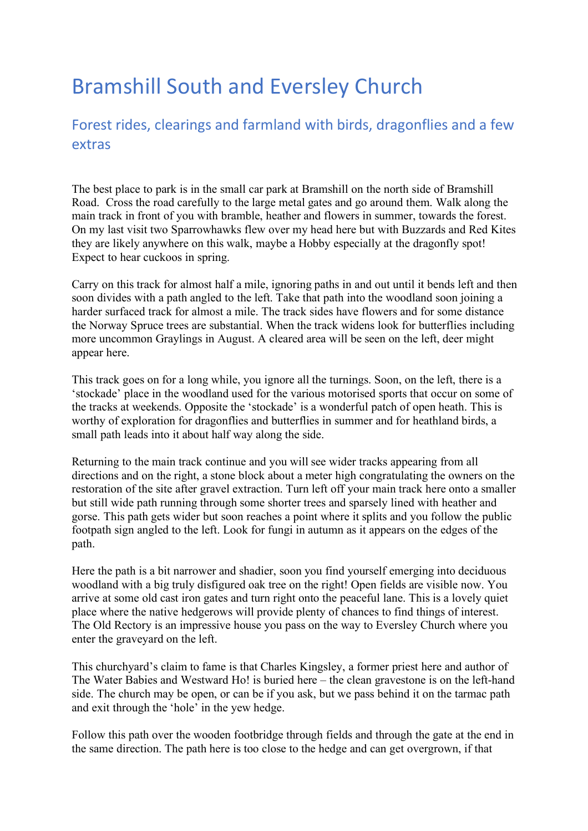## Bramshill South and Eversley Church

## Forest rides, clearings and farmland with birds, dragonflies and a few extras

The best place to park is in the small car park at Bramshill on the north side of Bramshill Road. Cross the road carefully to the large metal gates and go around them. Walk along the main track in front of you with bramble, heather and flowers in summer, towards the forest. On my last visit two Sparrowhawks flew over my head here but with Buzzards and Red Kites they are likely anywhere on this walk, maybe a Hobby especially at the dragonfly spot! Expect to hear cuckoos in spring.

Carry on this track for almost half a mile, ignoring paths in and out until it bends left and then soon divides with a path angled to the left. Take that path into the woodland soon joining a harder surfaced track for almost a mile. The track sides have flowers and for some distance the Norway Spruce trees are substantial. When the track widens look for butterflies including more uncommon Graylings in August. A cleared area will be seen on the left, deer might appear here.

This track goes on for a long while, you ignore all the turnings. Soon, on the left, there is a 'stockade' place in the woodland used for the various motorised sports that occur on some of the tracks at weekends. Opposite the 'stockade' is a wonderful patch of open heath. This is worthy of exploration for dragonflies and butterflies in summer and for heathland birds, a small path leads into it about half way along the side.

Returning to the main track continue and you will see wider tracks appearing from all directions and on the right, a stone block about a meter high congratulating the owners on the restoration of the site after gravel extraction. Turn left off your main track here onto a smaller but still wide path running through some shorter trees and sparsely lined with heather and gorse. This path gets wider but soon reaches a point where it splits and you follow the public footpath sign angled to the left. Look for fungi in autumn as it appears on the edges of the path.

Here the path is a bit narrower and shadier, soon you find yourself emerging into deciduous woodland with a big truly disfigured oak tree on the right! Open fields are visible now. You arrive at some old cast iron gates and turn right onto the peaceful lane. This is a lovely quiet place where the native hedgerows will provide plenty of chances to find things of interest. The Old Rectory is an impressive house you pass on the way to Eversley Church where you enter the graveyard on the left.

This churchyard's claim to fame is that Charles Kingsley, a former priest here and author of The Water Babies and Westward Ho! is buried here – the clean gravestone is on the left-hand side. The church may be open, or can be if you ask, but we pass behind it on the tarmac path and exit through the 'hole' in the yew hedge.

Follow this path over the wooden footbridge through fields and through the gate at the end in the same direction. The path here is too close to the hedge and can get overgrown, if that